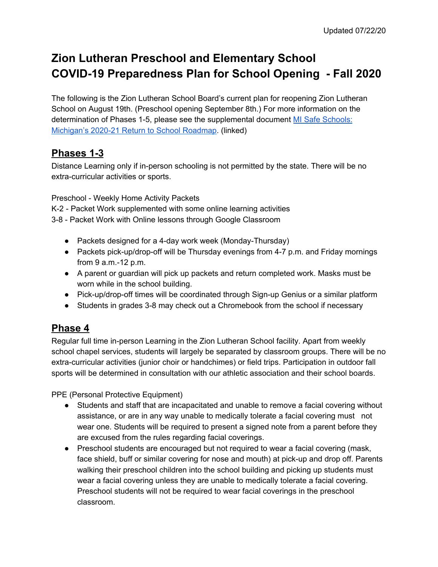# **Zion Lutheran Preschool and Elementary School COVID-19 Preparedness Plan for School Opening - Fall 2020**

The following is the Zion Lutheran School Board's current plan for reopening Zion Lutheran School on August 19th. (Preschool opening September 8th.) For more information on the determination of Phases 1-5, please see the supplemental document MI Safe [Schools:](https://www.michigan.gov/documents/whitmer/MI_Safe_Schools_Roadmap_FINAL_695392_7.pdf) [Michigan's](https://www.michigan.gov/documents/whitmer/MI_Safe_Schools_Roadmap_FINAL_695392_7.pdf) 2020-21 Return to School Roadmap. (linked)

#### **Phases 1-3**

Distance Learning only if in-person schooling is not permitted by the state. There will be no extra-curricular activities or sports.

Preschool - Weekly Home Activity Packets

- K-2 Packet Work supplemented with some online learning activities
- 3-8 Packet Work with Online lessons through Google Classroom
	- Packets designed for a 4-day work week (Monday-Thursday)
	- Packets pick-up/drop-off will be Thursday evenings from 4-7 p.m. and Friday mornings from 9 a.m.-12 p.m.
	- A parent or guardian will pick up packets and return completed work. Masks must be worn while in the school building.
	- Pick-up/drop-off times will be coordinated through Sign-up Genius or a similar platform
	- Students in grades 3-8 may check out a Chromebook from the school if necessary

### **Phase 4**

Regular full time in-person Learning in the Zion Lutheran School facility. Apart from weekly school chapel services, students will largely be separated by classroom groups. There will be no extra-curricular activities (junior choir or handchimes) or field trips. Participation in outdoor fall sports will be determined in consultation with our athletic association and their school boards.

PPE (Personal Protective Equipment)

- Students and staff that are incapacitated and unable to remove a facial covering without assistance, or are in any way unable to medically tolerate a facial covering must not wear one. Students will be required to present a signed note from a parent before they are excused from the rules regarding facial coverings.
- Preschool students are encouraged but not required to wear a facial covering (mask, face shield, buff or similar covering for nose and mouth) at pick-up and drop off. Parents walking their preschool children into the school building and picking up students must wear a facial covering unless they are unable to medically tolerate a facial covering. Preschool students will not be required to wear facial coverings in the preschool classroom.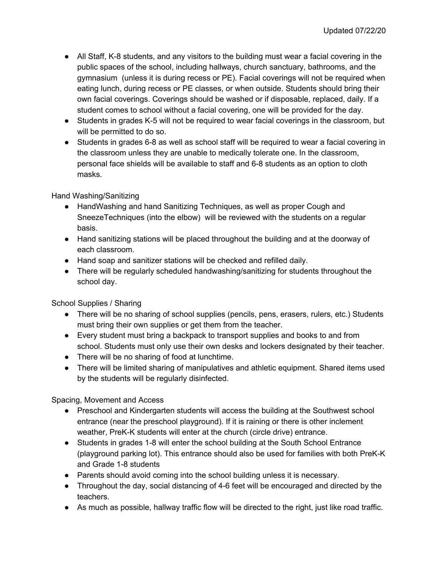- All Staff, K-8 students, and any visitors to the building must wear a facial covering in the public spaces of the school, including hallways, church sanctuary, bathrooms, and the gymnasium (unless it is during recess or PE). Facial coverings will not be required when eating lunch, during recess or PE classes, or when outside. Students should bring their own facial coverings. Coverings should be washed or if disposable, replaced, daily. If a student comes to school without a facial covering, one will be provided for the day.
- Students in grades K-5 will not be required to wear facial coverings in the classroom, but will be permitted to do so.
- Students in grades 6-8 as well as school staff will be required to wear a facial covering in the classroom unless they are unable to medically tolerate one. In the classroom, personal face shields will be available to staff and 6-8 students as an option to cloth masks.

Hand Washing/Sanitizing

- HandWashing and hand Sanitizing Techniques, as well as proper Cough and SneezeTechniques (into the elbow) will be reviewed with the students on a regular basis.
- Hand sanitizing stations will be placed throughout the building and at the doorway of each classroom.
- Hand soap and sanitizer stations will be checked and refilled daily.
- There will be regularly scheduled handwashing/sanitizing for students throughout the school day.

School Supplies / Sharing

- There will be no sharing of school supplies (pencils, pens, erasers, rulers, etc.) Students must bring their own supplies or get them from the teacher.
- Every student must bring a backpack to transport supplies and books to and from school. Students must only use their own desks and lockers designated by their teacher.
- There will be no sharing of food at lunchtime.
- There will be limited sharing of manipulatives and athletic equipment. Shared items used by the students will be regularly disinfected.

Spacing, Movement and Access

- Preschool and Kindergarten students will access the building at the Southwest school entrance (near the preschool playground). If it is raining or there is other inclement weather, PreK-K students will enter at the church (circle drive) entrance.
- Students in grades 1-8 will enter the school building at the South School Entrance (playground parking lot). This entrance should also be used for families with both PreK-K and Grade 1-8 students
- Parents should avoid coming into the school building unless it is necessary.
- Throughout the day, social distancing of 4-6 feet will be encouraged and directed by the teachers.
- As much as possible, hallway traffic flow will be directed to the right, just like road traffic.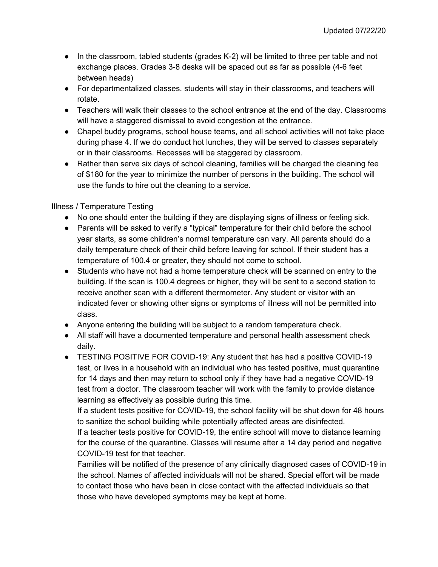- In the classroom, tabled students (grades K-2) will be limited to three per table and not exchange places. Grades 3-8 desks will be spaced out as far as possible (4-6 feet between heads)
- For departmentalized classes, students will stay in their classrooms, and teachers will rotate.
- Teachers will walk their classes to the school entrance at the end of the day. Classrooms will have a staggered dismissal to avoid congestion at the entrance.
- Chapel buddy programs, school house teams, and all school activities will not take place during phase 4. If we do conduct hot lunches, they will be served to classes separately or in their classrooms. Recesses will be staggered by classroom.
- Rather than serve six days of school cleaning, families will be charged the cleaning fee of \$180 for the year to minimize the number of persons in the building. The school will use the funds to hire out the cleaning to a service.

#### Illness / Temperature Testing

- No one should enter the building if they are displaying signs of illness or feeling sick.
- Parents will be asked to verify a "typical" temperature for their child before the school year starts, as some children's normal temperature can vary. All parents should do a daily temperature check of their child before leaving for school. If their student has a temperature of 100.4 or greater, they should not come to school.
- Students who have not had a home temperature check will be scanned on entry to the building. If the scan is 100.4 degrees or higher, they will be sent to a second station to receive another scan with a different thermometer. Any student or visitor with an indicated fever or showing other signs or symptoms of illness will not be permitted into class.
- Anyone entering the building will be subject to a random temperature check.
- All staff will have a documented temperature and personal health assessment check daily.
- TESTING POSITIVE FOR COVID-19: Any student that has had a positive COVID-19 test, or lives in a household with an individual who has tested positive, must quarantine for 14 days and then may return to school only if they have had a negative COVID-19 test from a doctor. The classroom teacher will work with the family to provide distance learning as effectively as possible during this time.

If a student tests positive for COVID-19, the school facility will be shut down for 48 hours to sanitize the school building while potentially affected areas are disinfected.

If a teacher tests positive for COVID-19, the entire school will move to distance learning for the course of the quarantine. Classes will resume after a 14 day period and negative COVID-19 test for that teacher.

Families will be notified of the presence of any clinically diagnosed cases of COVID-19 in the school. Names of affected individuals will not be shared. Special effort will be made to contact those who have been in close contact with the affected individuals so that those who have developed symptoms may be kept at home.